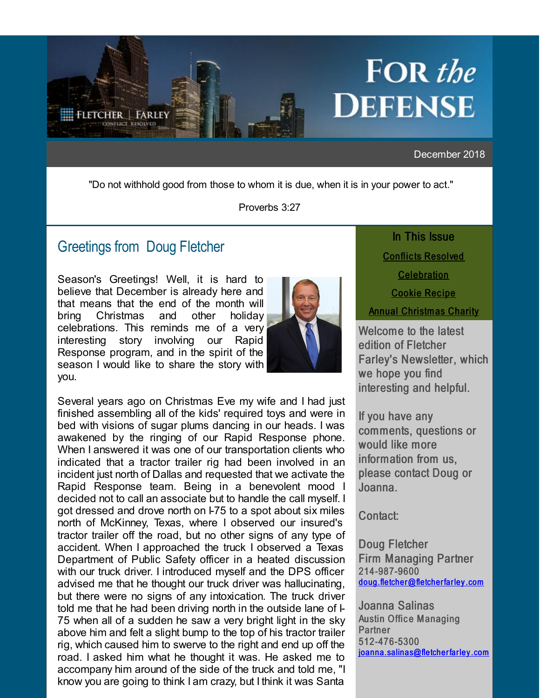<span id="page-0-0"></span>

### December 2018

"Do not withhold good from those to whom it is due, when it is in your power to act."

Proverbs 3:27

## Greetings from [Doug Fletcher](http://r20.rs6.net/tn.jsp?f=001oOzahmgTAevehDxfoWNw4Qy96LKAEdWudEpXhLyGknd3aUxzdfvv-ANUDUgLkkrSn-3Hx08ffgzGKUsyyp53vS7o9MmM_1ZVNt7l90P202MsxU2kJNHbgJsqQGSzEWwLVrWFhCo5UW_r3lNR0_dXVCLIu9dtX374cvlhsduUsLstv1WWGq-mMKz3AVZBtPNAjXmR2KO_rac5hx2xdfjUOw==&c=&ch=)

Season's Greetings! Well, it is hard to believe that December is already here and that means that the end of the month will bring Christmas and other holiday celebrations. This reminds me of a very<br>interesting story involving our Rapid interesting story involving our Response program, and in the spirit of the season I would like to share the story with you.



Several years ago on Christmas Eve my wife and I had just finished assembling all of the kids' required toys and were in bed with visions of sugar plums dancing in our heads. I was awakened by the ringing of our Rapid Response phone. When I answered it was one of our transportation clients who indicated that a tractor trailer rig had been involved in an incident just north of Dallas and requested that we activate the Rapid Response team. Being in a benevolent mood I decided not to call an associate but to handle the call myself. I got dressed and drove north on I-75 to a spot about six miles north of McKinney, Texas, where I observed our insured's tractor trailer off the road, but no other signs of any type of accident. When I approached the truck I observed a Texas Department of Public Safety officer in a heated discussion with our truck driver. I introduced myself and the DPS officer advised me that he thought our truck driver was hallucinating, but there were no signs of any intoxication. The truck driver told me that he had been driving north in the outside lane of  $\vdash$ 75 when all of a sudden he saw a very bright light in the sky above him and felt a slight bump to the top of his tractor trailer rig, which caused him to swerve to the right and end up off the road. I asked him what he thought it was. He asked me to accompany him around of the side of the truck and told me, "I know you are going to think I am crazy, but I think it was Santa

In This Issue **Conflicts Resolved [Celebration](#page-0-0) Cookie Recipe** [Annual Christm as Charity](#page-0-0)

Welcome to the latest edition of Fletcher Farley's Newsletter, which we hope you find interesting and helpful.

If you have any comments, questions or would like more information from us, please contact Doug or Joanna.

Contact:

Doug Fletcher Firm Managing Partner 214-987-9600 [doug.fletcher @fletcher far ley .com](mailto:doug.fletcher@fletcherfarley.com)

Joanna Salinas **Austin Office Managing Partner** 512-476-5300 joanna.salinas@fletcherfarley.com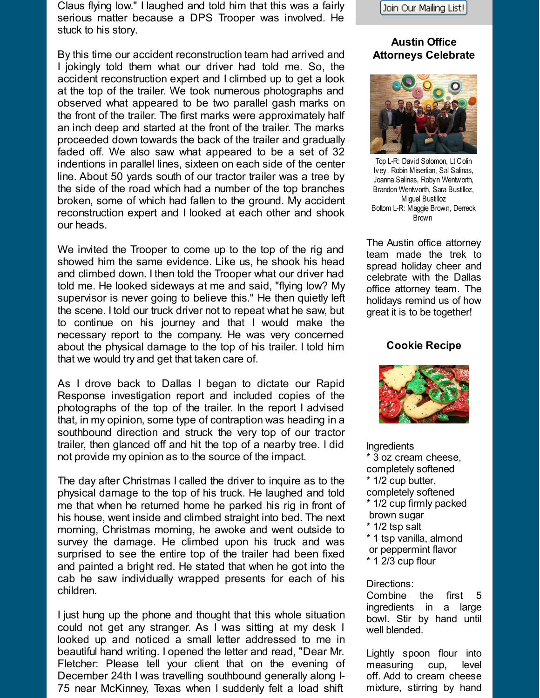Claus flying low." I laughed and told him that this was a fairly serious matter because a DPS Trooper was involved. He stuck to his story.

By this time our accident reconstruction team had arrived and I jokingly told them what our driver had told me. So, the accident reconstruction expert and I climbed up to get a look at the top of the trailer. We took numerous photographs and observed what appeared to be two parallel gash marks on the front of the trailer. The first marks were approximately half an inch deep and started at the front of the trailer. The marks proceeded down towards the back of the trailer and gradually faded off. We also saw what appeared to be a set of 32 indentions in parallel lines, sixteen on each side of the center line. About 50 yards south of our tractor trailer was a tree by the side of the road which had a number of the top branches broken, some of which had fallen to the ground. My accident reconstruction expert and I looked at each other and shook our heads.

We invited the Trooper to come up to the top of the rig and showed him the same evidence. Like us, he shook his head and climbed down. I then told the Trooper what our driver had told me. He looked sideways at me and said, "flying low? My supervisor is never going to believe this." He then quietly left the scene. I told our truck driver not to repeat what he saw, but to continue on his journey and that I would make the necessary report to the company. He was very concerned about the physical damage to the top of his trailer. I told him that we would try and get that taken care of.

As I drove back to Dallas I began to dictate our Rapid Response investigation report and included copies of the photographs of the top of the trailer. In the report I advised that, in my opinion, some type of contraption was heading in a southbound direction and struck the very top of our tractor trailer, then glanced off and hit the top of a nearby tree. I did not provide my opinion as to the source of the impact.

The day after Christmas I called the driver to inquire as to the physical damage to the top of his truck. He laughed and told me that when he returned home he parked his rig in front of his house, went inside and climbed straight into bed. The next morning, Christmas morning, he awoke and went outside to survey the damage. He climbed upon his truck and was surprised to see the entire top of the trailer had been fixed and painted a bright red. He stated that when he got into the cab he saw individually wrapped presents for each of his children.

I just hung up the phone and thought that this whole situation could not get any stranger. As I was sitting at my desk I looked up and noticed a small letter addressed to me in beautiful hand writing. I opened the letter and read, "Dear Mr. Fletcher: Please tell your client that on the evening of December 24th I was travelling southbound generally along I-75 near McKinney, Texas when I suddenly felt a load shift



## **Austin Office Attorneys Celebrate**



Top L-R: David Solomon, Lt Colin Ivey, Robin Miserlian, Sal Salinas, Joanna Salinas, Robyn Wentworth, Brandon Wentworth, Sara Bustilloz, Miguel Bustilloz Bottom L-R: Maggie Brown, Derreck Brown

The Austin office attorney team made the trek to spread holiday cheer and celebrate with the Dallas office attorney team. The holidays remind us of how great it is to be together!

#### **Cookie Recipe**



Ingredients \* 3 oz cream cheese, completely softened \* 1/2 cup butter, completely softened \* 1/2 cup firmly packed brown sugar \* 1/2 tsp salt \* 1 tsp vanilla, almond

- or peppermint flavor
- \* 1 2/3 cup flour

#### Directions:

Combine the first 5 ingredients in a large bowl. Stir by hand until well blended.

Lightly spoon flour into measuring cup, level off. Add to cream cheese mixture, stirring by hand